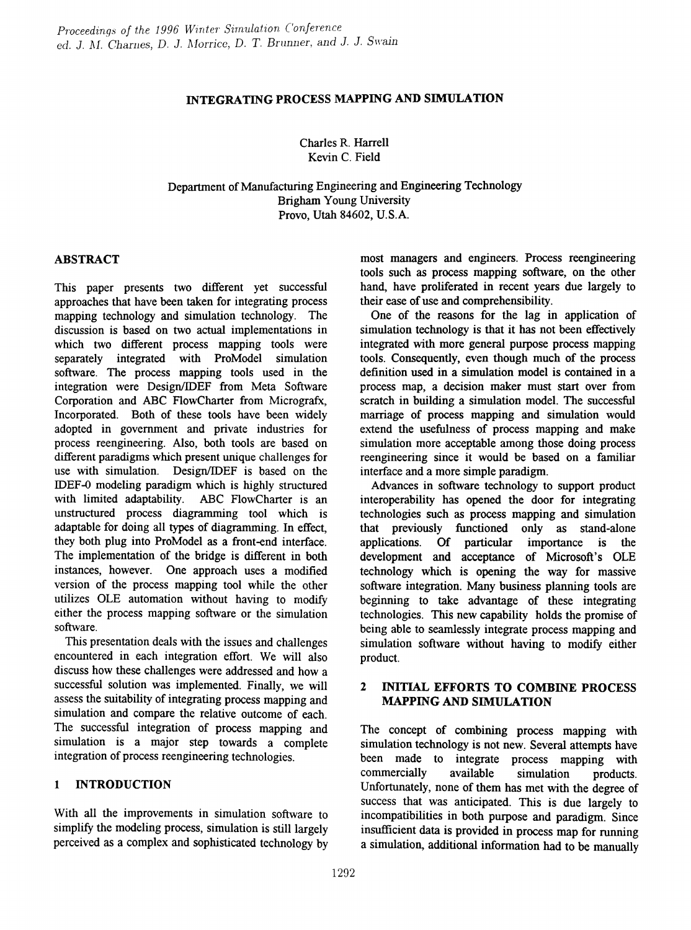# INTEGRATING PROCESS MAPPING AND SIMULATION

Charles R. Harrell Kevin C. Field

Department of Manufacturing Engineering and Engineering Technology Brigham Young University Provo, Utah 84602, U.S.A.

# ABSTRACT

This paper presents two different yet successful approaches that have been taken for integrating process mapping technology and simulation technology. The discussion is based on two actual implementations in which two different process mapping tools were separately integrated with ProModel simulation software. The process mapping tools used in the integration were Design/IDEF from Meta Software Corporation and ABC FlowCharter from Micrografx, Incorporated. Both of these tools have been widely adopted in government and private industries for process reengineering. Also, both tools are based on different paradigms which present unique challenges for use with simulation. Design/IDEF is based on the IDEF-o modeling paradigm which is highly structured with limited adaptability. ABC FlowCharter is an unstructured process diagramming tool which is adaptable for doing all types of diagramming. In effect, they both plug into ProModel as a front-end interface. The implementation of the bridge is different in both instances, however. One approach uses a modified version of the process mapping tool while the other utilizes OLE automation without having to modify either the process mapping software or the simulation software.

This presentation deals with the issues and challenges encountered in each integration effort. We will also discuss how these challenges were addressed and how a successful solution was implemented. Finally, we will assess the suitability of integrating process mapping and simulation and compare the relative outcome of each. The successful integration of process mapping and simulation is a major step towards a complete integration of process reengineering technologies.

# 1 INTRODUCTION

With all the improvements in simulation software to simplify the modeling process, simulation is still largely perceived as a complex and sophisticated technology by most managers and engineers. Process reengineering tools such as process mapping software, on the other hand, have proliferated in recent years due largely to their ease of use and comprehensibility.

One of the reasons for the lag in application of simulation technology is that it has not been effectively integrated with more general purpose process mapping tools. Consequently, even though much of the process definition used in a simulation model is contained in a process map, a decision maker must start over from scratch in building a simulation model. The successful marriage of process mapping and simulation would extend the usefulness of process mapping and make simulation more acceptable among those doing process reengineering since it would be based on a familiar interface and a more simple paradigm.

Advances in software technology to support product interoperability has opened the door for integrating technologies such as process mapping and simulation that previously functioned only as stand-alone applications. Of particular importance is the development and acceptance of Microsoft's OLE technology which is opening the way for massive software integration. Many business planning tools are beginning to take advantage of these integrating technologies. This new capability holds the promise of being able to seamlessly integrate process mapping and simulation software without having to modify either product.

# 2 INITIAL EFFORTS TO COMBINE PROCESS MAPPING AND SIMULATION

The concept of combining process mapping with simulation technology is not new. Several attempts have been made to integrate process mapping with commercially available simulation products. Unfortunately, none of them has met with the degree of success that was anticipated. This is due largely to incompatibilities in both purpose and paradigm. Since insufficient data is provided in process map for running a simulation, additional information had to be manually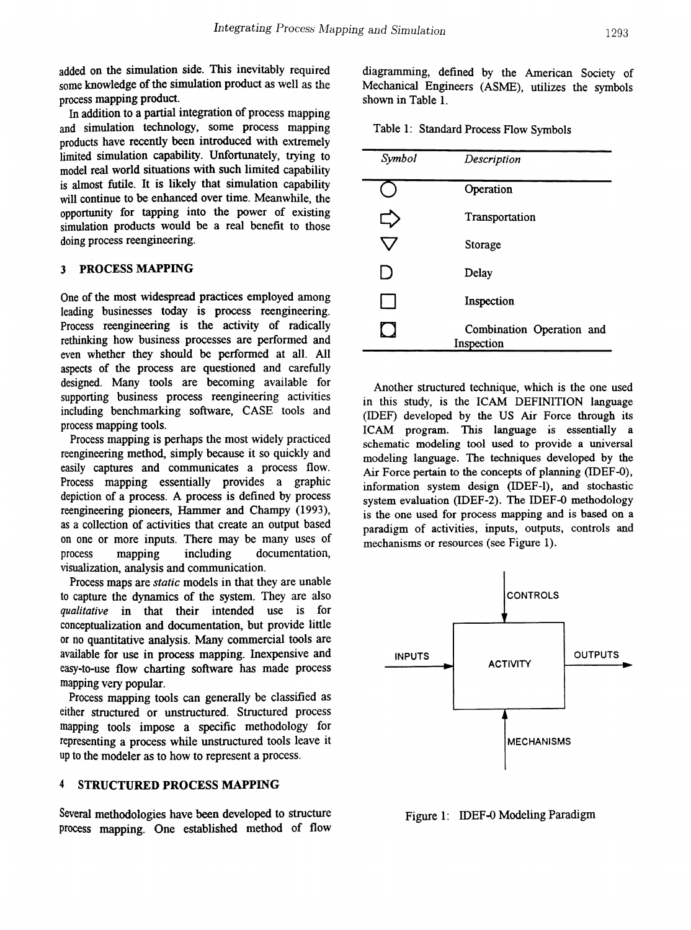added on the simulation side. This inevitably required some knowledge of the simulation product as well as the process mapping product.

In addition to a partial integration of process mapping and simulation technology, some process mapping products have recently been introduced with extremely limited simulation capability. Unfortunately, trying to model real world situations with such limited capability is almost futile. It is likely that simulation capability will continue to be enhanced over time. Meanwhile, the opportunity for tapping into the power of existing simulation products would be a real benefit to those doing process reengineering.

### 3 PROCESS MAPPING

One of the most widespread practices employed among leading businesses today is process reengineering. Process reengineering is the activity of radically rethinking how business processes are performed and even whether they should be perfonned at all. All aspects of the process are questioned and carefully designed. Many tools are becoming available for supporting business process reengineering activities including benchmarking software, CASE tools and process mapping tools.

Process mapping is perhaps the most widely practiced reengineering method, simply because it so quickly and easily captures and communicates a process flow. Process mapping essentially provides a graphic depiction of a process. A process is defined by process reengineering pioneers, Hammer and Champy (1993), as a collection of activities that create an output based on one or more inputs. There may be many uses of process mapping including documentation, visualization, analysis and communication.

Process maps are *static* models in that they are unable to capture the dynamics of the system. They are also qualitative in that their intended use is for conceptualization and documentation, but provide little or no quantitative analysis. Many commercial tools are available for use in process mapping. Inexpensive and easy-to-use flow charting software has made process mapping very popular.

Process mapping tools can generally be classified as either structured or unstructured. Structured process mapping tools impose a specific methodology for representing a process while unstructured tools leave it up to the modeler as to how to represent a process.

#### 4 STRUCTURED PROCESS MAPPING

Several methodologies have been developed to structure process mapping. One established method of flow

diagramming, defined by the American Society of Mechanical Engineers (ASME), utilizes the symbols shown in Table 1.

|  | Table 1: Standard Process Flow Symbols |  |  |  |  |
|--|----------------------------------------|--|--|--|--|
|--|----------------------------------------|--|--|--|--|

| Symbol | Description                             |
|--------|-----------------------------------------|
|        | Operation                               |
|        | Transportation                          |
|        | Storage                                 |
| I)     | Delay                                   |
| L      | Inspection                              |
|        | Combination Operation and<br>Inspection |

Another structured technique, which is the one used in this study, is the ICAM DEFINITION language (IDEF) developed by the US Air Force through its ICAM program. This language is essentially a schematic modeling tool used to provide a universal modeling language. The techniques developed by the Air Force pertain to the concepts of planning (IDEF-Q), information system design (IDEF-l), and stochastic system evaluation (IDEF-2). The IDEF-Q methodology is the one used for process mapping and is based on a paradigm of activities, inputs, outputs, controls and mechanisms or resources (see Figure 1).



Figure 1: IDEF-0 Modeling Paradigm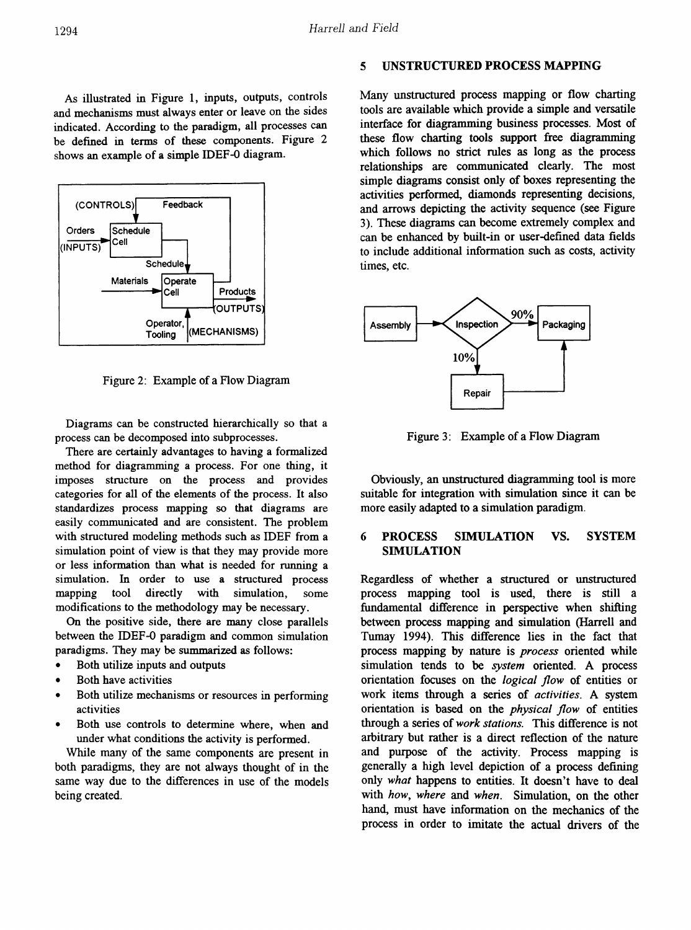As illustrated in Figure 1, inputs, outputs, controls and mechanisms must always enter or leave on the sides indicated. According to the paradigm, all processes can be defined in terms of these components. Figure 2 shows an example of a simple IDEF-o diagram.



Figure 2: Example of a Flow Diagram

Diagrams can be constructed hierarchically so that a process can be decomposed into subprocesses.

There are certainly advantages to having a formalized method for diagramming a process. For one thing, it imposes structure on the process and provides categories for all of the elements of the process. It also standardizes process mapping so that diagrams are easily communicated and are consistent. The problem with structured modeling methods such as IDEF from a simulation point of view is that they may provide more or less information than what is needed for running a simulation. In order to use a structured process mapping tool directly with simulation, some modifications to the methodology may be necessary.

On the positive side, there are many close parallels between the IDEP-Q paradigm and common simulation paradigms. They may be summarized as follows:

- Both utilize inputs and outputs
- Both have activities
- Both utilize mechanisms or resources in performing activities
- Both use controls to determine where, when and under what conditions the activity is performed.

While many of the same components are present in both paradigms, they are not always thought of in the same way due to the differences in use of the models being created.

#### 5 UNSTRUCTURED PROCESS MAPPING

Many unstructured process mapping or flow charting tools are available which provide a simple and versatile interface for diagramming business processes. Most of these flow charting tools support free diagramming which follows no strict rules as long as the process relationships are communicated clearly. The most simple diagrams consist only of boxes representing the activities perfonned, diamonds representing decisions, and arrows depicting the activity sequence (see Figure 3). These diagrams can become extremely complex and can be enhanced by built-in or user-defined data fields to include additional information such as costs, activity times, etc.



Figure 3: Example of a Flow Diagram

Obviously, an unstructured diagramming tool is more suitable for integration with simulation since it can be more easily adapted to a simulation paradigm.

### 6 PROCESS SlMULATION VS. SYSTEM SIMULATION

Regardless of whether a structured or unstructured process mapping tool is used, there is still a fundamental difference in perspective when shifting between process mapping and simulation (Harrell and Tumay 1994). This difference lies in the fact that process mapping by nature is *process* oriented while simulation tends to be *system* oriented. A process orientation focuses on the *logical flow* of entities or work items through a series of *activities.* A system orientation is based on the *physical flow* of entities through a series of*work stations.* This difference is not arbitrary but rather is a direct reflection of the nature and purpose of the activity. Process mapping is generally a high level depiction of a process defining only *what* happens to entities. It doesn't have to deal with *how, where* and *when.* Simulation, on the other hand, must have information on the mechanics of the process in order to imitate the actual drivers of the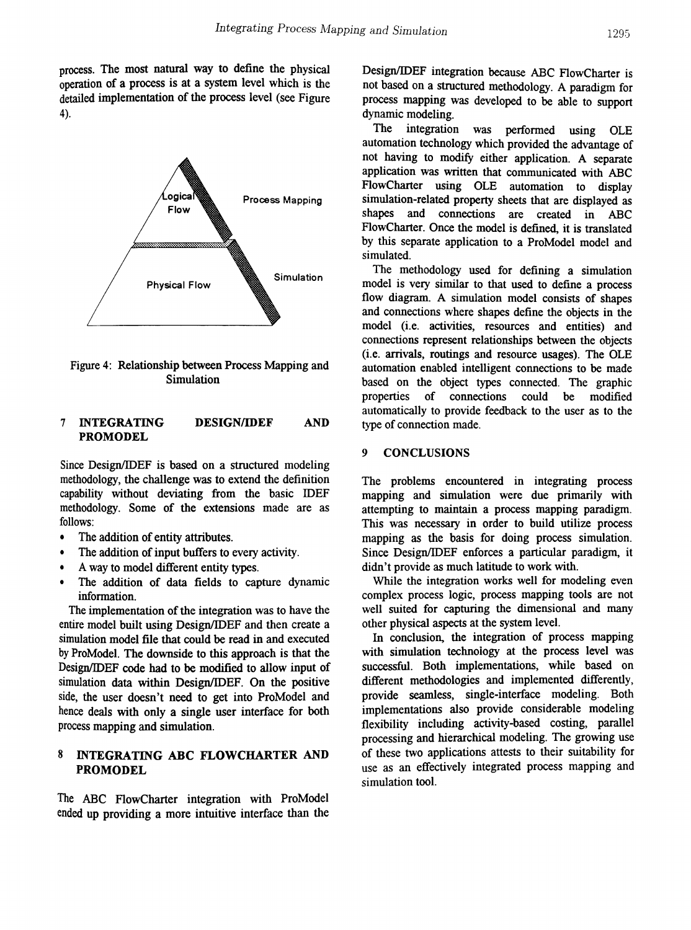process. The most natural way to define the physical operation of a process is at a system level which is the detailed implementation of the process level (see Figure 4).



Figure 4: Relationship between Process Mapping and Simulation

### 7 INTEGRATING DESIGNIIDEF PROMODEL

Since Design/IDEF is based on a structured modeling methodology, the challenge was to extend the definition capability without deviating from the basic IDEF methodology. Some of the extensions made are as follows:

- The addition of entity attributes.
- The addition of input buffers to every activity.
- A way to model different entity types.
- The addition of data fields to capture dynamic information.

The implementation of the integration was to have the entire model built using Design/IDEF and then create a simulation model file that could be read in and executed by ProModel. The downside to this approach is that the Design/IDEF code had to be modified to allow input of simulation data within Design/IDEF. On the positive side, the user doesn't need to get into ProModel and hence deals with only a single user interface for both process mapping and simulation.

## 8 INTEGRATING ABC FLOWCHARTER AND PROMODEL

The ABC FlowCharter integration with ProModel ended up providing a more intuitive interface than the

Design/IDEF integration because ABC FlowCharter is not based on a structured methodology. A paradigm for process mapping was developed to be able to support dynamic modeling.

The integration was performed using OLE automation technology which provided the advantage of not having to modify either application. A separate application was written that communicated with ABC FlowCharter using OLE automation to display simulation-related property sheets that are displayed as shapes and connections are created in ABC FlowCharter. Once the model is defined, it is translated by this separate application to a ProModel model and simulated.

The methodology used for defining a simulation model is very similar to that used to define a process flow diagram. A simulation model consists of shapes and connections where shapes define the objects in the model (i.e. activities, resources and entities) and connections represent relationships between the objects (i.e. arrivals, routings and resource usages). The OLE automation enabled intelligent connections to be made based on the object types connected. The graphic properties of connections could be modified automatically to provide feedback to the user as to the AND type of connection made.

#### 9 CONCLUSIONS

The problems encountered in integrating process mapping and simulation were due primarily with attempting to maintain a process mapping paradigm. This was necessary in order to build utilize process mapping as the basis for doing process simulation. Since Design/IDEF enforces a particular paradigm, it didn't provide as much latitude to work with.

While the integration works well for modeling even complex process logic, process mapping tools are not well suited for capturing the dimensional and many other physical aspects at the system level.

In conclusion, the integration of process mapping with simulation technology at the process level was successful. Both implementations, while based on different methodologies and implemented differently, provide seamless, single-interface modeling. Both implementations also provide considerable modeling flexibility including activity-based costing, parallel processing and hierarchical modeling. The growing use of these two applications attests to their suitability for use as an effectively integrated process mapping and simulation tool.